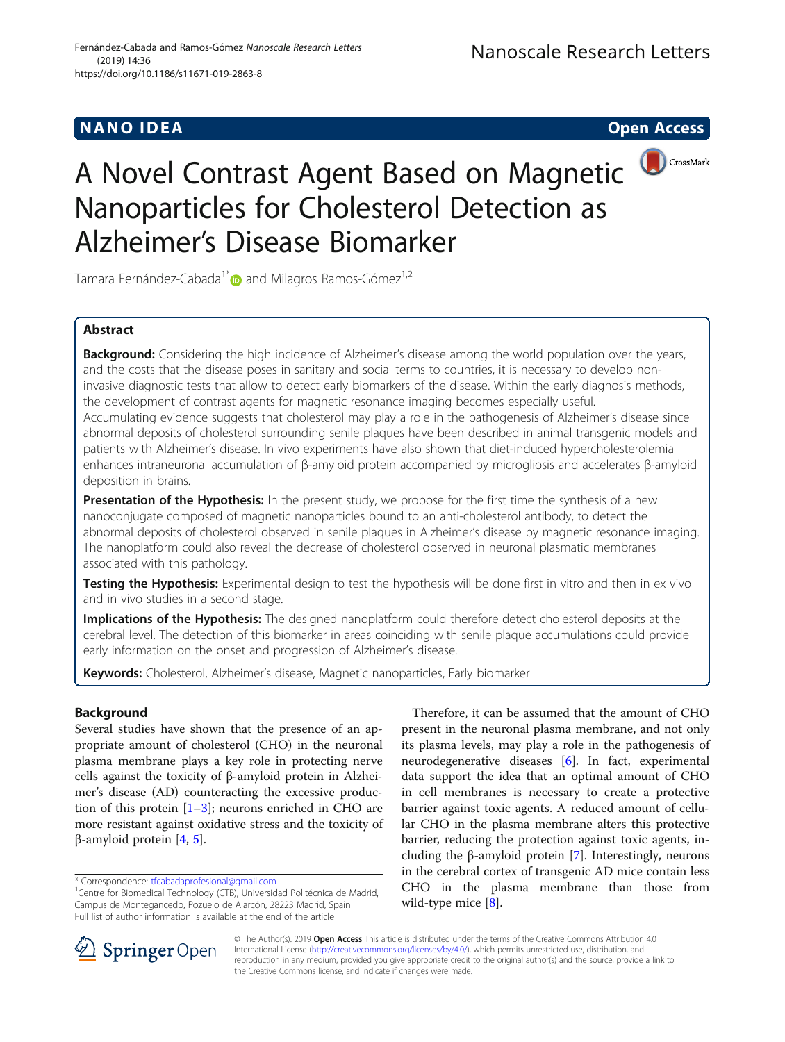## **NANO IDEA** Open Access **Contract Contract Contract Contract Contract Contract Contract Contract Contract Contract Contract Contract Contract Contract Contract Contract Contract Contract Contract Contract Contract Contract**



# A Novel Contrast Agent Based on Magnetic Nanoparticles for Cholesterol Detection as Alzheimer's Disease Biomarker

Tamara Fernández-Cabada<sup>1\*</sup> and Milagros Ramos-Gómez<sup>1,2</sup>

## Abstract

Background: Considering the high incidence of Alzheimer's disease among the world population over the years, and the costs that the disease poses in sanitary and social terms to countries, it is necessary to develop noninvasive diagnostic tests that allow to detect early biomarkers of the disease. Within the early diagnosis methods, the development of contrast agents for magnetic resonance imaging becomes especially useful. Accumulating evidence suggests that cholesterol may play a role in the pathogenesis of Alzheimer's disease since abnormal deposits of cholesterol surrounding senile plaques have been described in animal transgenic models and patients with Alzheimer's disease. In vivo experiments have also shown that diet-induced hypercholesterolemia enhances intraneuronal accumulation of β-amyloid protein accompanied by microgliosis and accelerates β-amyloid deposition in brains.

Presentation of the Hypothesis: In the present study, we propose for the first time the synthesis of a new nanoconjugate composed of magnetic nanoparticles bound to an anti-cholesterol antibody, to detect the abnormal deposits of cholesterol observed in senile plaques in Alzheimer's disease by magnetic resonance imaging. The nanoplatform could also reveal the decrease of cholesterol observed in neuronal plasmatic membranes associated with this pathology.

Testing the Hypothesis: Experimental design to test the hypothesis will be done first in vitro and then in ex vivo and in vivo studies in a second stage.

Implications of the Hypothesis: The designed nanoplatform could therefore detect cholesterol deposits at the cerebral level. The detection of this biomarker in areas coinciding with senile plaque accumulations could provide early information on the onset and progression of Alzheimer's disease.

Keywords: Cholesterol, Alzheimer's disease, Magnetic nanoparticles, Early biomarker

## Background

Several studies have shown that the presence of an appropriate amount of cholesterol (CHO) in the neuronal plasma membrane plays a key role in protecting nerve cells against the toxicity of β-amyloid protein in Alzheimer's disease (AD) counteracting the excessive production of this protein  $[1-3]$  $[1-3]$  $[1-3]$  $[1-3]$ ; neurons enriched in CHO are more resistant against oxidative stress and the toxicity of β-amyloid protein [\[4](#page-4-0), [5](#page-4-0)].

Therefore, it can be assumed that the amount of CHO present in the neuronal plasma membrane, and not only its plasma levels, may play a role in the pathogenesis of neurodegenerative diseases [\[6\]](#page-4-0). In fact, experimental data support the idea that an optimal amount of CHO in cell membranes is necessary to create a protective barrier against toxic agents. A reduced amount of cellular CHO in the plasma membrane alters this protective barrier, reducing the protection against toxic agents, including the β-amyloid protein [\[7](#page-4-0)]. Interestingly, neurons in the cerebral cortex of transgenic AD mice contain less CHO in the plasma membrane than those from wild-type mice [\[8](#page-4-0)].



© The Author(s). 2019 Open Access This article is distributed under the terms of the Creative Commons Attribution 4.0 International License ([http://creativecommons.org/licenses/by/4.0/\)](http://creativecommons.org/licenses/by/4.0/), which permits unrestricted use, distribution, and reproduction in any medium, provided you give appropriate credit to the original author(s) and the source, provide a link to the Creative Commons license, and indicate if changes were made.

<sup>\*</sup> Correspondence: [tfcabadaprofesional@gmail.com](mailto:tfcabadaprofesional@gmail.com) <sup>1</sup>

<sup>&</sup>lt;sup>1</sup>Centre for Biomedical Technology (CTB), Universidad Politécnica de Madrid, Campus de Montegancedo, Pozuelo de Alarcón, 28223 Madrid, Spain Full list of author information is available at the end of the article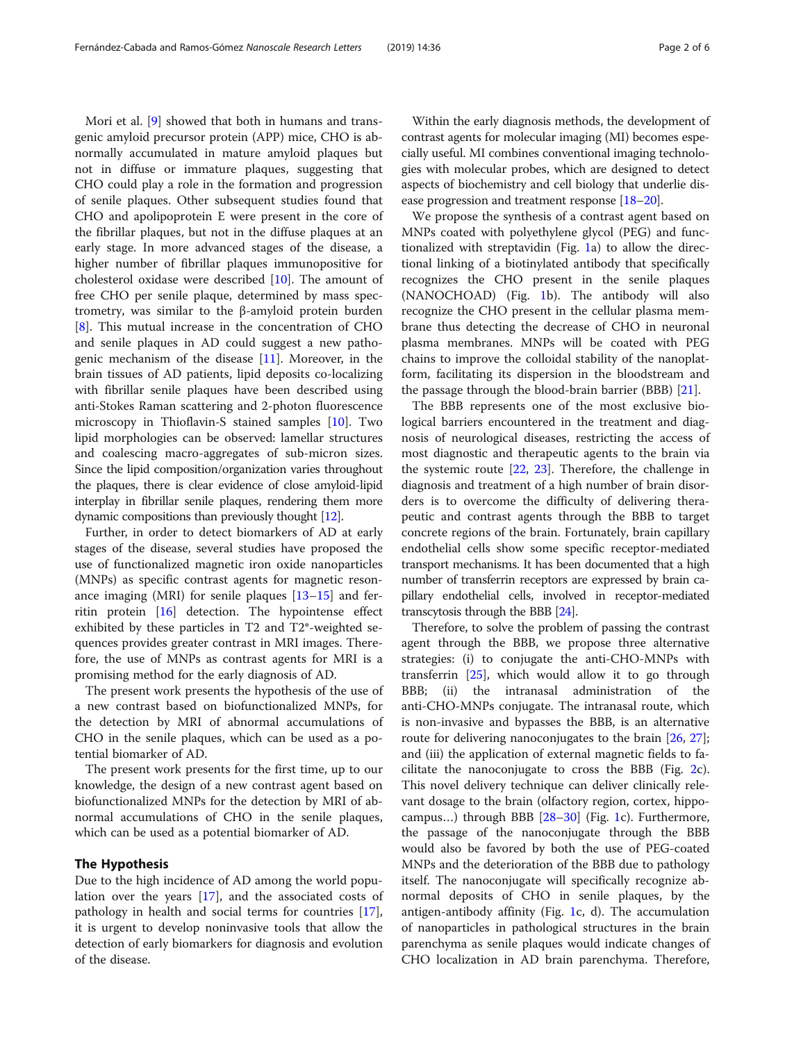Mori et al. [[9\]](#page-4-0) showed that both in humans and transgenic amyloid precursor protein (APP) mice, CHO is abnormally accumulated in mature amyloid plaques but not in diffuse or immature plaques, suggesting that CHO could play a role in the formation and progression of senile plaques. Other subsequent studies found that CHO and apolipoprotein E were present in the core of the fibrillar plaques, but not in the diffuse plaques at an early stage. In more advanced stages of the disease, a higher number of fibrillar plaques immunopositive for cholesterol oxidase were described [\[10\]](#page-5-0). The amount of free CHO per senile plaque, determined by mass spectrometry, was similar to the β-amyloid protein burden [[8\]](#page-4-0). This mutual increase in the concentration of CHO and senile plaques in AD could suggest a new pathogenic mechanism of the disease [[11\]](#page-5-0). Moreover, in the brain tissues of AD patients, lipid deposits co-localizing with fibrillar senile plaques have been described using anti-Stokes Raman scattering and 2-photon fluorescence microscopy in Thioflavin-S stained samples [[10\]](#page-5-0). Two lipid morphologies can be observed: lamellar structures and coalescing macro-aggregates of sub-micron sizes. Since the lipid composition/organization varies throughout the plaques, there is clear evidence of close amyloid-lipid interplay in fibrillar senile plaques, rendering them more

Further, in order to detect biomarkers of AD at early stages of the disease, several studies have proposed the use of functionalized magnetic iron oxide nanoparticles (MNPs) as specific contrast agents for magnetic resonance imaging (MRI) for senile plaques [[13](#page-5-0)–[15](#page-5-0)] and ferritin protein [\[16](#page-5-0)] detection. The hypointense effect exhibited by these particles in T2 and T2\*-weighted sequences provides greater contrast in MRI images. Therefore, the use of MNPs as contrast agents for MRI is a promising method for the early diagnosis of AD.

dynamic compositions than previously thought [\[12\]](#page-5-0).

The present work presents the hypothesis of the use of a new contrast based on biofunctionalized MNPs, for the detection by MRI of abnormal accumulations of CHO in the senile plaques, which can be used as a potential biomarker of AD.

The present work presents for the first time, up to our knowledge, the design of a new contrast agent based on biofunctionalized MNPs for the detection by MRI of abnormal accumulations of CHO in the senile plaques, which can be used as a potential biomarker of AD.

### The Hypothesis

Due to the high incidence of AD among the world population over the years [[17\]](#page-5-0), and the associated costs of pathology in health and social terms for countries [\[17](#page-5-0)], it is urgent to develop noninvasive tools that allow the detection of early biomarkers for diagnosis and evolution of the disease.

Within the early diagnosis methods, the development of contrast agents for molecular imaging (MI) becomes especially useful. MI combines conventional imaging technologies with molecular probes, which are designed to detect aspects of biochemistry and cell biology that underlie disease progression and treatment response [\[18](#page-5-0)–[20](#page-5-0)].

We propose the synthesis of a contrast agent based on MNPs coated with polyethylene glycol (PEG) and functionalized with streptavidin (Fig. [1a](#page-2-0)) to allow the directional linking of a biotinylated antibody that specifically recognizes the CHO present in the senile plaques (NANOCHOAD) (Fig. [1b](#page-2-0)). The antibody will also recognize the CHO present in the cellular plasma membrane thus detecting the decrease of CHO in neuronal plasma membranes. MNPs will be coated with PEG chains to improve the colloidal stability of the nanoplatform, facilitating its dispersion in the bloodstream and the passage through the blood-brain barrier (BBB) [[21\]](#page-5-0).

The BBB represents one of the most exclusive biological barriers encountered in the treatment and diagnosis of neurological diseases, restricting the access of most diagnostic and therapeutic agents to the brain via the systemic route [\[22](#page-5-0), [23](#page-5-0)]. Therefore, the challenge in diagnosis and treatment of a high number of brain disorders is to overcome the difficulty of delivering therapeutic and contrast agents through the BBB to target concrete regions of the brain. Fortunately, brain capillary endothelial cells show some specific receptor-mediated transport mechanisms. It has been documented that a high number of transferrin receptors are expressed by brain capillary endothelial cells, involved in receptor-mediated transcytosis through the BBB [\[24\]](#page-5-0).

Therefore, to solve the problem of passing the contrast agent through the BBB, we propose three alternative strategies: (i) to conjugate the anti-CHO-MNPs with transferrin [[25](#page-5-0)], which would allow it to go through BBB; (ii) the intranasal administration of the anti-CHO-MNPs conjugate. The intranasal route, which is non-invasive and bypasses the BBB, is an alternative route for delivering nanoconjugates to the brain [\[26](#page-5-0), [27](#page-5-0)]; and (iii) the application of external magnetic fields to facilitate the nanoconjugate to cross the BBB (Fig. [2c](#page-2-0)). This novel delivery technique can deliver clinically relevant dosage to the brain (olfactory region, cortex, hippocampus…) through BBB [\[28](#page-5-0)–[30\]](#page-5-0) (Fig. [1](#page-2-0)c). Furthermore, the passage of the nanoconjugate through the BBB would also be favored by both the use of PEG-coated MNPs and the deterioration of the BBB due to pathology itself. The nanoconjugate will specifically recognize abnormal deposits of CHO in senile plaques, by the antigen-antibody affinity (Fig. [1](#page-2-0)c, d). The accumulation of nanoparticles in pathological structures in the brain parenchyma as senile plaques would indicate changes of CHO localization in AD brain parenchyma. Therefore,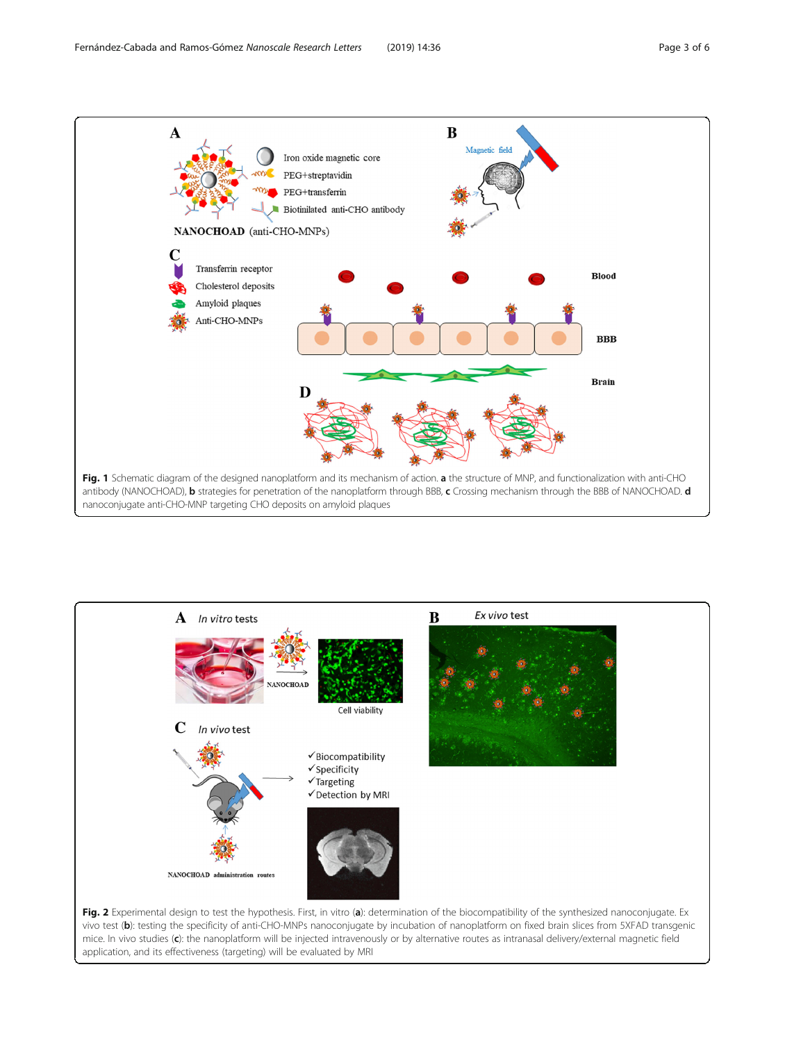<span id="page-2-0"></span>



vivo test (b): testing the specificity of anti-CHO-MNPs nanoconjugate by incubation of nanoplatform on fixed brain slices from 5XFAD transgenic mice. In vivo studies (c): the nanoplatform will be injected intravenously or by alternative routes as intranasal delivery/external magnetic field application, and its effectiveness (targeting) will be evaluated by MRI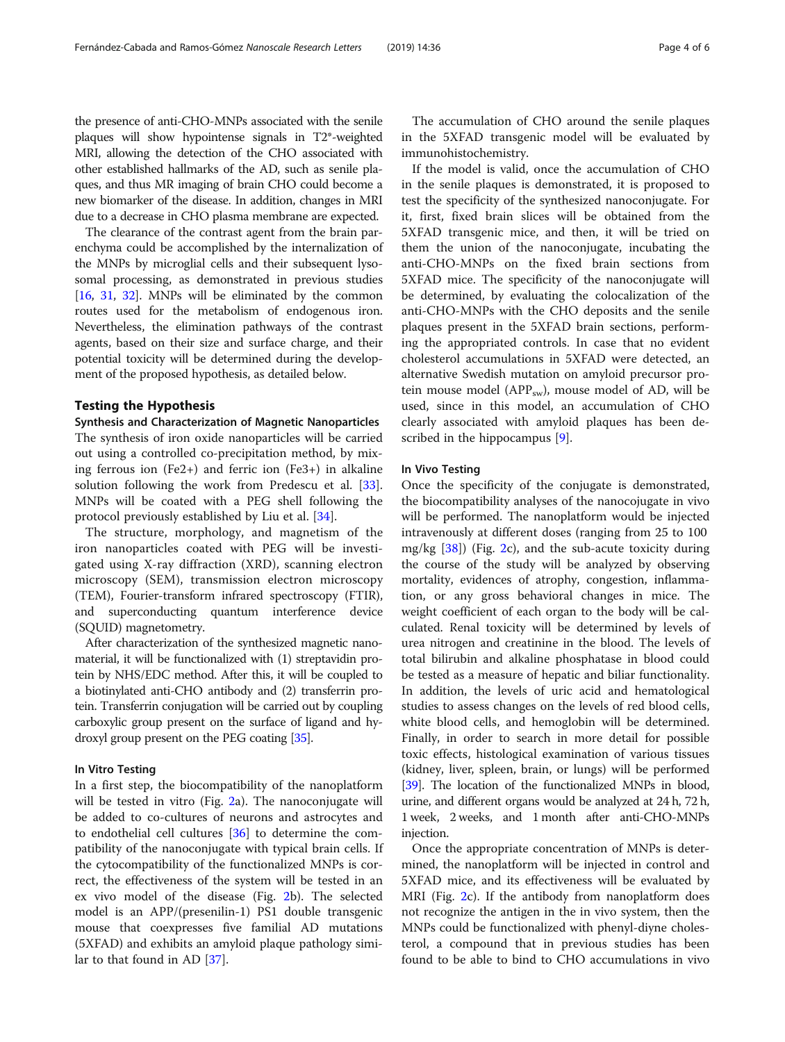the presence of anti-CHO-MNPs associated with the senile plaques will show hypointense signals in T2\*-weighted MRI, allowing the detection of the CHO associated with other established hallmarks of the AD, such as senile plaques, and thus MR imaging of brain CHO could become a new biomarker of the disease. In addition, changes in MRI due to a decrease in CHO plasma membrane are expected.

The clearance of the contrast agent from the brain parenchyma could be accomplished by the internalization of the MNPs by microglial cells and their subsequent lysosomal processing, as demonstrated in previous studies [[16](#page-5-0), [31,](#page-5-0) [32\]](#page-5-0). MNPs will be eliminated by the common routes used for the metabolism of endogenous iron. Nevertheless, the elimination pathways of the contrast agents, based on their size and surface charge, and their potential toxicity will be determined during the development of the proposed hypothesis, as detailed below.

#### Testing the Hypothesis

Synthesis and Characterization of Magnetic Nanoparticles The synthesis of iron oxide nanoparticles will be carried out using a controlled co-precipitation method, by mixing ferrous ion (Fe2+) and ferric ion (Fe3+) in alkaline solution following the work from Predescu et al. [\[33](#page-5-0)]. MNPs will be coated with a PEG shell following the protocol previously established by Liu et al. [[34\]](#page-5-0).

The structure, morphology, and magnetism of the iron nanoparticles coated with PEG will be investigated using X-ray diffraction (XRD), scanning electron microscopy (SEM), transmission electron microscopy (TEM), Fourier-transform infrared spectroscopy (FTIR), and superconducting quantum interference device (SQUID) magnetometry.

After characterization of the synthesized magnetic nanomaterial, it will be functionalized with (1) streptavidin protein by NHS/EDC method. After this, it will be coupled to a biotinylated anti-CHO antibody and (2) transferrin protein. Transferrin conjugation will be carried out by coupling carboxylic group present on the surface of ligand and hydroxyl group present on the PEG coating [\[35\]](#page-5-0).

#### In Vitro Testing

In a first step, the biocompatibility of the nanoplatform will be tested in vitro (Fig. [2](#page-2-0)a). The nanoconjugate will be added to co-cultures of neurons and astrocytes and to endothelial cell cultures  $[36]$  $[36]$  to determine the compatibility of the nanoconjugate with typical brain cells. If the cytocompatibility of the functionalized MNPs is correct, the effectiveness of the system will be tested in an ex vivo model of the disease (Fig. [2](#page-2-0)b). The selected model is an APP/(presenilin-1) PS1 double transgenic mouse that coexpresses five familial AD mutations (5XFAD) and exhibits an amyloid plaque pathology similar to that found in AD [[37](#page-5-0)].

The accumulation of CHO around the senile plaques in the 5XFAD transgenic model will be evaluated by immunohistochemistry.

If the model is valid, once the accumulation of CHO in the senile plaques is demonstrated, it is proposed to test the specificity of the synthesized nanoconjugate. For it, first, fixed brain slices will be obtained from the 5XFAD transgenic mice, and then, it will be tried on them the union of the nanoconjugate, incubating the anti-CHO-MNPs on the fixed brain sections from 5XFAD mice. The specificity of the nanoconjugate will be determined, by evaluating the colocalization of the anti-CHO-MNPs with the CHO deposits and the senile plaques present in the 5XFAD brain sections, performing the appropriated controls. In case that no evident cholesterol accumulations in 5XFAD were detected, an alternative Swedish mutation on amyloid precursor protein mouse model ( $APP<sub>sw</sub>$ ), mouse model of AD, will be used, since in this model, an accumulation of CHO clearly associated with amyloid plaques has been described in the hippocampus [\[9](#page-4-0)].

#### In Vivo Testing

Once the specificity of the conjugate is demonstrated, the biocompatibility analyses of the nanocojugate in vivo will be performed. The nanoplatform would be injected intravenously at different doses (ranging from 25 to 100 mg/kg [[38\]](#page-5-0)) (Fig. [2c](#page-2-0)), and the sub-acute toxicity during the course of the study will be analyzed by observing mortality, evidences of atrophy, congestion, inflammation, or any gross behavioral changes in mice. The weight coefficient of each organ to the body will be calculated. Renal toxicity will be determined by levels of urea nitrogen and creatinine in the blood. The levels of total bilirubin and alkaline phosphatase in blood could be tested as a measure of hepatic and biliar functionality. In addition, the levels of uric acid and hematological studies to assess changes on the levels of red blood cells, white blood cells, and hemoglobin will be determined. Finally, in order to search in more detail for possible toxic effects, histological examination of various tissues (kidney, liver, spleen, brain, or lungs) will be performed [[39](#page-5-0)]. The location of the functionalized MNPs in blood, urine, and different organs would be analyzed at 24 h, 72 h, 1 week, 2 weeks, and 1 month after anti-CHO-MNPs injection.

Once the appropriate concentration of MNPs is determined, the nanoplatform will be injected in control and 5XFAD mice, and its effectiveness will be evaluated by MRI (Fig. [2](#page-2-0)c). If the antibody from nanoplatform does not recognize the antigen in the in vivo system, then the MNPs could be functionalized with phenyl-diyne cholesterol, a compound that in previous studies has been found to be able to bind to CHO accumulations in vivo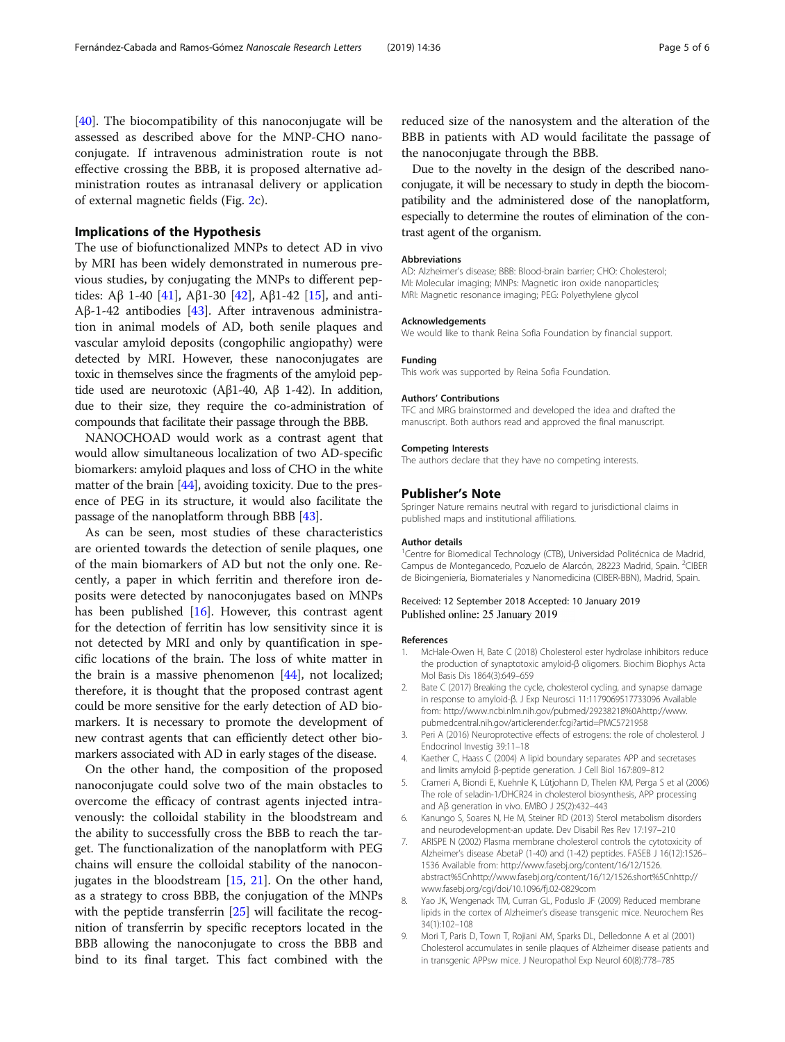<span id="page-4-0"></span>[[40\]](#page-5-0). The biocompatibility of this nanoconjugate will be assessed as described above for the MNP-CHO nanoconjugate. If intravenous administration route is not effective crossing the BBB, it is proposed alternative administration routes as intranasal delivery or application of external magnetic fields (Fig. [2](#page-2-0)c).

#### Implications of the Hypothesis

The use of biofunctionalized MNPs to detect AD in vivo by MRI has been widely demonstrated in numerous previous studies, by conjugating the MNPs to different pep-tides: Aβ 1-40 [\[41](#page-5-0)], Aβ1-30 [\[42](#page-5-0)], Aβ1-42 [\[15\]](#page-5-0), and anti-Aβ-1-42 antibodies [\[43](#page-5-0)]. After intravenous administration in animal models of AD, both senile plaques and vascular amyloid deposits (congophilic angiopathy) were detected by MRI. However, these nanoconjugates are toxic in themselves since the fragments of the amyloid peptide used are neurotoxic (Aβ1-40, Aβ 1-42). In addition, due to their size, they require the co-administration of compounds that facilitate their passage through the BBB.

NANOCHOAD would work as a contrast agent that would allow simultaneous localization of two AD-specific biomarkers: amyloid plaques and loss of CHO in the white matter of the brain  $[44]$  $[44]$  $[44]$ , avoiding toxicity. Due to the presence of PEG in its structure, it would also facilitate the passage of the nanoplatform through BBB [[43](#page-5-0)].

As can be seen, most studies of these characteristics are oriented towards the detection of senile plaques, one of the main biomarkers of AD but not the only one. Recently, a paper in which ferritin and therefore iron deposits were detected by nanoconjugates based on MNPs has been published [\[16](#page-5-0)]. However, this contrast agent for the detection of ferritin has low sensitivity since it is not detected by MRI and only by quantification in specific locations of the brain. The loss of white matter in the brain is a massive phenomenon [[44](#page-5-0)], not localized; therefore, it is thought that the proposed contrast agent could be more sensitive for the early detection of AD biomarkers. It is necessary to promote the development of new contrast agents that can efficiently detect other biomarkers associated with AD in early stages of the disease.

On the other hand, the composition of the proposed nanoconjugate could solve two of the main obstacles to overcome the efficacy of contrast agents injected intravenously: the colloidal stability in the bloodstream and the ability to successfully cross the BBB to reach the target. The functionalization of the nanoplatform with PEG chains will ensure the colloidal stability of the nanoconjugates in the bloodstream [[15](#page-5-0), [21](#page-5-0)]. On the other hand, as a strategy to cross BBB, the conjugation of the MNPs with the peptide transferrin [[25\]](#page-5-0) will facilitate the recognition of transferrin by specific receptors located in the BBB allowing the nanoconjugate to cross the BBB and bind to its final target. This fact combined with the reduced size of the nanosystem and the alteration of the BBB in patients with AD would facilitate the passage of the nanoconjugate through the BBB.

Due to the novelty in the design of the described nanoconjugate, it will be necessary to study in depth the biocompatibility and the administered dose of the nanoplatform, especially to determine the routes of elimination of the contrast agent of the organism.

#### Abbreviations

AD: Alzheimer's disease; BBB: Blood-brain barrier; CHO: Cholesterol; MI: Molecular imaging; MNPs: Magnetic iron oxide nanoparticles; MRI: Magnetic resonance imaging; PEG: Polyethylene glycol

#### Acknowledgements

We would like to thank Reina Sofia Foundation by financial support.

#### Funding

This work was supported by Reina Sofia Foundation.

#### Authors' Contributions

TFC and MRG brainstormed and developed the idea and drafted the manuscript. Both authors read and approved the final manuscript.

#### Competing Interests

The authors declare that they have no competing interests.

#### Publisher's Note

Springer Nature remains neutral with regard to jurisdictional claims in published maps and institutional affiliations.

#### Author details

<sup>1</sup> Centre for Biomedical Technology (CTB), Universidad Politécnica de Madrid, Campus de Montegancedo, Pozuelo de Alarcón, 28223 Madrid, Spain. <sup>2</sup>CIBER de Bioingeniería, Biomateriales y Nanomedicina (CIBER-BBN), Madrid, Spain.

#### Received: 12 September 2018 Accepted: 10 January 2019 Published online: 25 January 2019

#### References

- McHale-Owen H, Bate C (2018) Cholesterol ester hydrolase inhibitors reduce the production of synaptotoxic amyloid-β oligomers. Biochim Biophys Acta Mol Basis Dis 1864(3):649–659
- 2. Bate C (2017) Breaking the cycle, cholesterol cycling, and synapse damage in response to amyloid-β. J Exp Neurosci 11:1179069517733096 Available from: http://www.ncbi.nlm.nih.gov/pubmed/29238218%0Ahttp://www. pubmedcentral.nih.gov/articlerender.fcgi?artid=PMC5721958
- 3. Peri A (2016) Neuroprotective effects of estrogens: the role of cholesterol. J Endocrinol Investig 39:11–18
- 4. Kaether C, Haass C (2004) A lipid boundary separates APP and secretases and limits amyloid β-peptide generation. J Cell Biol 167:809–812
- 5. Crameri A, Biondi E, Kuehnle K, Lütjohann D, Thelen KM, Perga S et al (2006) The role of seladin-1/DHCR24 in cholesterol biosynthesis, APP processing and Aβ generation in vivo. EMBO J 25(2):432–443
- 6. Kanungo S, Soares N, He M, Steiner RD (2013) Sterol metabolism disorders and neurodevelopment-an update. Dev Disabil Res Rev 17:197–210
- 7. ARISPE N (2002) Plasma membrane cholesterol controls the cytotoxicity of Alzheimer's disease AbetaP (1-40) and (1-42) peptides. FASEB J 16(12):1526– 1536 Available from: http://www.fasebj.org/content/16/12/1526. abstract%5Cnhttp://www.fasebj.org/content/16/12/1526.short%5Cnhttp:// www.fasebj.org/cgi/doi/10.1096/fj.02-0829com
- 8. Yao JK, Wengenack TM, Curran GL, Poduslo JF (2009) Reduced membrane lipids in the cortex of Alzheimer's disease transgenic mice. Neurochem Res 34(1):102–108
- 9. Mori T, Paris D, Town T, Rojiani AM, Sparks DL, Delledonne A et al (2001) Cholesterol accumulates in senile plaques of Alzheimer disease patients and in transgenic APPsw mice. J Neuropathol Exp Neurol 60(8):778–785